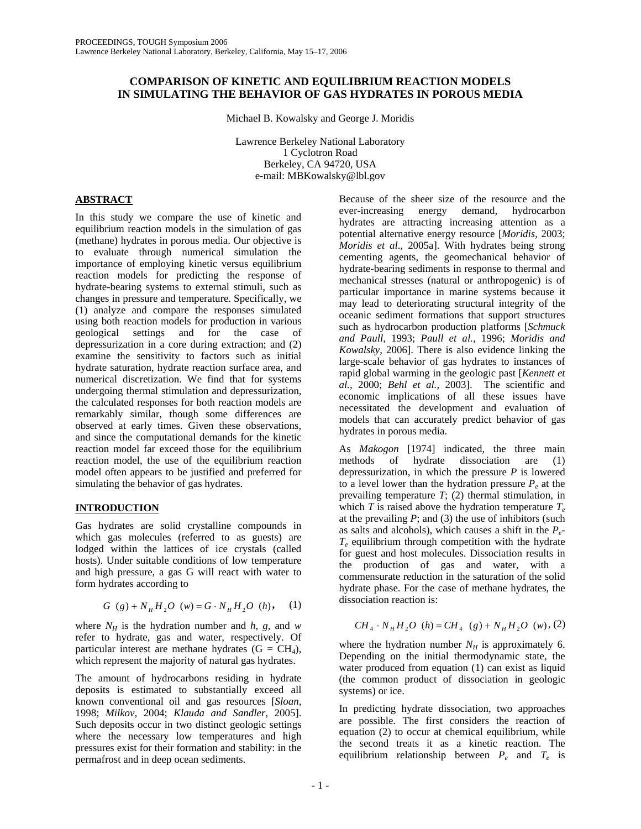# **COMPARISON OF KINETIC AND EQUILIBRIUM REACTION MODELS IN SIMULATING THE BEHAVIOR OF GAS HYDRATES IN POROUS MEDIA**

Michael B. Kowalsky and George J. Moridis

Lawrence Berkeley National Laboratory 1 Cyclotron Road Berkeley, CA 94720, USA e-mail: MBKowalsky@lbl.gov

# **ABSTRACT**

In this study we compare the use of kinetic and equilibrium reaction models in the simulation of gas (methane) hydrates in porous media. Our objective is to evaluate through numerical simulation the importance of employing kinetic versus equilibrium reaction models for predicting the response of hydrate-bearing systems to external stimuli, such as changes in pressure and temperature. Specifically, we (1) analyze and compare the responses simulated using both reaction models for production in various geological settings and for the case of depressurization in a core during extraction; and (2) examine the sensitivity to factors such as initial hydrate saturation, hydrate reaction surface area, and numerical discretization. We find that for systems undergoing thermal stimulation and depressurization, the calculated responses for both reaction models are remarkably similar, though some differences are observed at early times. Given these observations, and since the computational demands for the kinetic reaction model far exceed those for the equilibrium reaction model, the use of the equilibrium reaction model often appears to be justified and preferred for simulating the behavior of gas hydrates.

# **INTRODUCTION**

Gas hydrates are solid crystalline compounds in which gas molecules (referred to as guests) are lodged within the lattices of ice crystals (called hosts). Under suitable conditions of low temperature and high pressure, a gas G will react with water to form hydrates according to

$$
G (g) + NH H2 O (w) = G \cdot NH H2 O (h), (1)
$$

where  $N_H$  is the hydration number and *h*, *g*, and *w* refer to hydrate, gas and water, respectively. Of particular interest are methane hydrates  $(G = CH<sub>4</sub>)$ , which represent the majority of natural gas hydrates.

The amount of hydrocarbons residing in hydrate deposits is estimated to substantially exceed all known conventional oil and gas resources [*Sloan*, 1998; *Milkov*, 2004; *Klauda and Sandler*, 2005]. Such deposits occur in two distinct geologic settings where the necessary low temperatures and high pressures exist for their formation and stability: in the permafrost and in deep ocean sediments.

Because of the sheer size of the resource and the ever-increasing energy demand, hydrocarbon hydrates are attracting increasing attention as a potential alternative energy resource [*Moridis*, 2003; *Moridis et al*., 2005a]. With hydrates being strong cementing agents, the geomechanical behavior of hydrate-bearing sediments in response to thermal and mechanical stresses (natural or anthropogenic) is of particular importance in marine systems because it may lead to deteriorating structural integrity of the oceanic sediment formations that support structures such as hydrocarbon production platforms [*Schmuck and Paull*, 1993; *Paull et al.*, 1996; *Moridis and Kowalsky*, 2006]. There is also evidence linking the large-scale behavior of gas hydrates to instances of rapid global warming in the geologic past [*Kennett et al.*, 2000; *Behl et al.*, 2003]. The scientific and economic implications of all these issues have necessitated the development and evaluation of models that can accurately predict behavior of gas hydrates in porous media.

As *Makogon* [1974] indicated, the three main methods of hydrate dissociation are (1) depressurization, in which the pressure *P* is lowered to a level lower than the hydration pressure  $P_e$  at the prevailing temperature *T*; (2) thermal stimulation, in which *T* is raised above the hydration temperature  $T_e$ at the prevailing  $P$ ; and (3) the use of inhibitors (such as salts and alcohols), which causes a shift in the  $P_{e^-}$  $T_e$  equilibrium through competition with the hydrate for guest and host molecules. Dissociation results in the production of gas and water, with a commensurate reduction in the saturation of the solid hydrate phase. For the case of methane hydrates, the dissociation reaction is:

$$
CH_4 \cdot N_H H_2O \ (h) = CH_4 \ (g) + N_H H_2O \ (w), (2)
$$

where the hydration number  $N_H$  is approximately 6. Depending on the initial thermodynamic state, the water produced from equation (1) can exist as liquid (the common product of dissociation in geologic systems) or ice.

In predicting hydrate dissociation, two approaches are possible. The first considers the reaction of equation (2) to occur at chemical equilibrium, while the second treats it as a kinetic reaction. The equilibrium relationship between *Pe* and *Te* is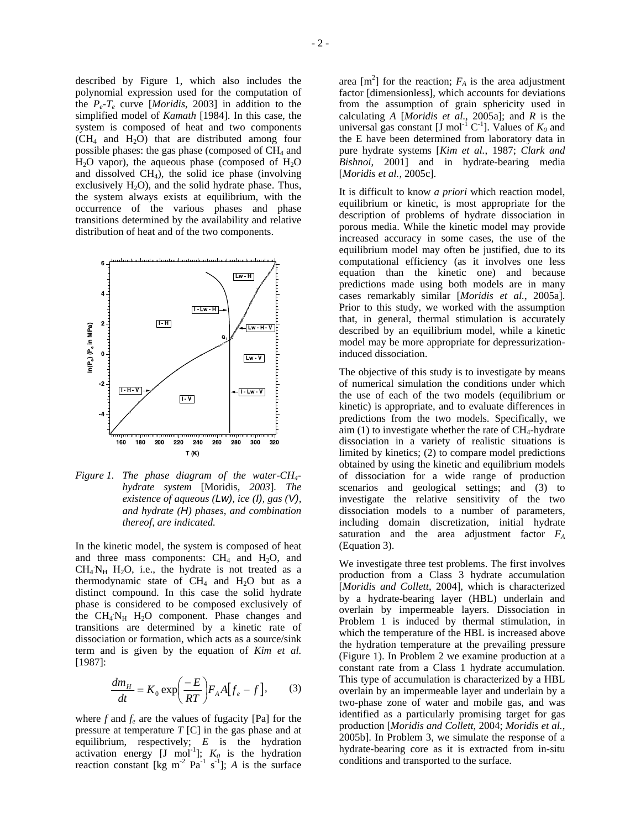described by Figure 1, which also includes the polynomial expression used for the computation of the *Pe*-*Te* curve [*Moridis*, 2003] in addition to the simplified model of *Kamath* [1984]. In this case, the system is composed of heat and two components  $(CH_4$  and  $H_2O$ ) that are distributed among four possible phases: the gas phase (composed of  $CH<sub>4</sub>$  and  $H<sub>2</sub>O$  vapor), the aqueous phase (composed of  $H<sub>2</sub>O$ and dissolved  $CH<sub>4</sub>$ ), the solid ice phase (involving exclusively  $H_2O$ , and the solid hydrate phase. Thus, the system always exists at equilibrium, with the occurrence of the various phases and phase transitions determined by the availability and relative distribution of heat and of the two components.



*Figure 1. The phase diagram of the water-CH4 hydrate system* [Moridis*, 2003*]*. The existence of aqueous (Lw), ice (I), gas (V), and hydrate (H) phases, and combination thereof, are indicated.* 

In the kinetic model, the system is composed of heat and three mass components:  $CH<sub>4</sub>$  and  $H<sub>2</sub>O$ , and  $CH_4N_H$  H<sub>2</sub>O, i.e., the hydrate is not treated as a thermodynamic state of  $CH_4$  and  $H_2O$  but as a distinct compound. In this case the solid hydrate phase is considered to be composed exclusively of the  $CH_4N_H$   $H_2O$  component. Phase changes and transitions are determined by a kinetic rate of dissociation or formation, which acts as a source/sink term and is given by the equation of *Kim et al.* [1987]:

$$
\frac{dm_H}{dt} = K_0 \exp\left(\frac{-E}{RT}\right) F_A A \left[f_e - f\right],\tag{3}
$$

where  $f$  and  $f_e$  are the values of fugacity [Pa] for the pressure at temperature *T* [C] in the gas phase and at equilibrium, respectively; *E* is the hydration activation energy [J mol<sup>-1</sup>];  $K_0$  is the hydration reaction constant [kg m<sup>-2</sup> Pa<sup>-1</sup> s<sup>-1</sup>]; *A* is the surface

area  $[m^2]$  for the reaction;  $F_A$  is the area adjustment factor [dimensionless], which accounts for deviations from the assumption of grain sphericity used in calculating *A* [*Moridis et al*., 2005a]; and *R* is the universal gas constant [J mol<sup>-1</sup> C<sup>-1</sup>]. Values of  $K_0$  and the E have been determined from laboratory data in pure hydrate systems [*Kim et al.*, 1987; *Clark and Bishnoi*, 2001] and in hydrate-bearing media [*Moridis et al.*, 2005c].

It is difficult to know *a priori* which reaction model, equilibrium or kinetic, is most appropriate for the description of problems of hydrate dissociation in porous media. While the kinetic model may provide increased accuracy in some cases, the use of the equilibrium model may often be justified, due to its computational efficiency (as it involves one less equation than the kinetic one) and because predictions made using both models are in many cases remarkably similar [*Moridis et al.*, 2005a]. Prior to this study, we worked with the assumption that, in general, thermal stimulation is accurately described by an equilibrium model, while a kinetic model may be more appropriate for depressurizationinduced dissociation.

The objective of this study is to investigate by means of numerical simulation the conditions under which the use of each of the two models (equilibrium or kinetic) is appropriate, and to evaluate differences in predictions from the two models. Specifically, we aim  $(1)$  to investigate whether the rate of CH<sub>4</sub>-hydrate dissociation in a variety of realistic situations is limited by kinetics; (2) to compare model predictions obtained by using the kinetic and equilibrium models of dissociation for a wide range of production scenarios and geological settings; and (3) to investigate the relative sensitivity of the two dissociation models to a number of parameters, including domain discretization, initial hydrate saturation and the area adjustment factor *FA* (Equation 3).

We investigate three test problems. The first involves production from a Class 3 hydrate accumulation [*Moridis and Collett*, 2004], which is characterized by a hydrate-bearing layer (HBL) underlain and overlain by impermeable layers. Dissociation in Problem 1 is induced by thermal stimulation, in which the temperature of the HBL is increased above the hydration temperature at the prevailing pressure (Figure 1). In Problem 2 we examine production at a constant rate from a Class 1 hydrate accumulation. This type of accumulation is characterized by a HBL overlain by an impermeable layer and underlain by a two-phase zone of water and mobile gas, and was identified as a particularly promising target for gas production [*Moridis and Collett*, 2004; *Moridis et al.*, 2005b]. In Problem 3, we simulate the response of a hydrate-bearing core as it is extracted from in-situ conditions and transported to the surface.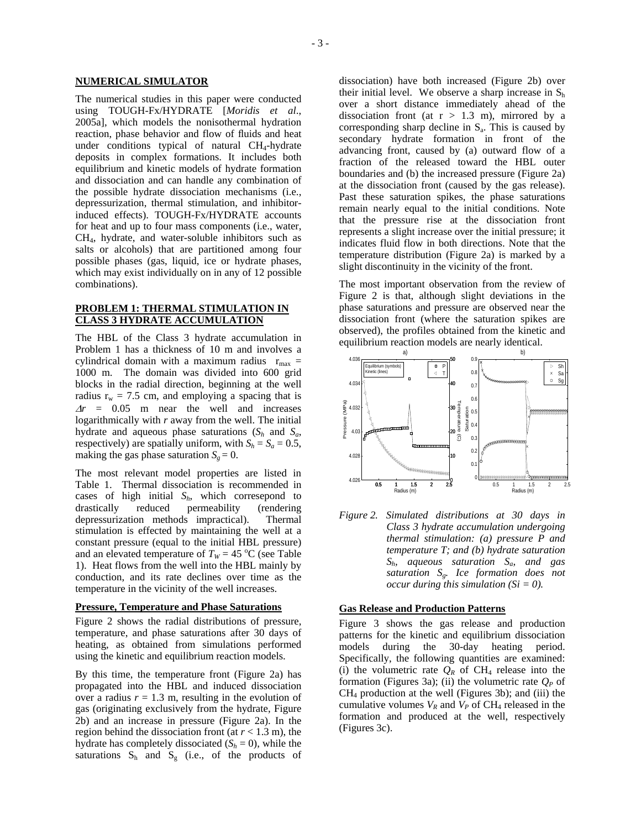### **NUMERICAL SIMULATOR**

The numerical studies in this paper were conducted using TOUGH-Fx/HYDRATE [*Moridis et al*., 2005a], which models the nonisothermal hydration reaction, phase behavior and flow of fluids and heat under conditions typical of natural  $CH<sub>4</sub>$ -hydrate deposits in complex formations. It includes both equilibrium and kinetic models of hydrate formation and dissociation and can handle any combination of the possible hydrate dissociation mechanisms (i.e., depressurization, thermal stimulation, and inhibitorinduced effects). TOUGH-Fx/HYDRATE accounts for heat and up to four mass components (i.e., water, CH4, hydrate, and water-soluble inhibitors such as salts or alcohols) that are partitioned among four possible phases (gas, liquid, ice or hydrate phases, which may exist individually on in any of 12 possible combinations).

## **PROBLEM 1: THERMAL STIMULATION IN CLASS 3 HYDRATE ACCUMULATION**

The HBL of the Class 3 hydrate accumulation in Problem 1 has a thickness of 10 m and involves a cylindrical domain with a maximum radius  $r_{\text{max}} =$ 1000 m. The domain was divided into 600 grid blocks in the radial direction, beginning at the well radius  $r_w = 7.5$  cm, and employing a spacing that is <sup>∆</sup>*r* = 0.05 m near the well and increases logarithmically with *r* away from the well. The initial hydrate and aqueous phase saturations  $(S_h$  and  $S_a$ , respectively) are spatially uniform, with  $S_h = S_a = 0.5$ , making the gas phase saturation  $S_g = 0$ .

The most relevant model properties are listed in Table 1. Thermal dissociation is recommended in cases of high initial  $S_h$ , which corresepond to drastically reduced permeability (rendering depressurization methods impractical). Thermal stimulation is effected by maintaining the well at a constant pressure (equal to the initial HBL pressure) and an elevated temperature of  $T_W = 45 \degree C$  (see Table 1). Heat flows from the well into the HBL mainly by conduction, and its rate declines over time as the temperature in the vicinity of the well increases.

#### **Pressure, Temperature and Phase Saturations**

Figure 2 shows the radial distributions of pressure, temperature, and phase saturations after 30 days of heating, as obtained from simulations performed using the kinetic and equilibrium reaction models.

By this time, the temperature front (Figure 2a) has propagated into the HBL and induced dissociation over a radius  $r = 1.3$  m, resulting in the evolution of gas (originating exclusively from the hydrate, Figure 2b) and an increase in pressure (Figure 2a). In the region behind the dissociation front (at  $r < 1.3$  m), the hydrate has completely dissociated  $(S_h = 0)$ , while the saturations  $S_h$  and  $S_g$  (i.e., of the products of

dissociation) have both increased (Figure 2b) over their initial level. We observe a sharp increase in  $S<sub>h</sub>$ over a short distance immediately ahead of the dissociation front (at  $r > 1.3$  m), mirrored by a corresponding sharp decline in  $S_a$ . This is caused by secondary hydrate formation in front of the advancing front, caused by (a) outward flow of a fraction of the released toward the HBL outer boundaries and (b) the increased pressure (Figure 2a) at the dissociation front (caused by the gas release). Past these saturation spikes, the phase saturations remain nearly equal to the initial conditions. Note that the pressure rise at the dissociation front represents a slight increase over the initial pressure; it indicates fluid flow in both directions. Note that the temperature distribution (Figure 2a) is marked by a slight discontinuity in the vicinity of the front.

The most important observation from the review of Figure 2 is that, although slight deviations in the phase saturations and pressure are observed near the dissociation front (where the saturation spikes are observed), the profiles obtained from the kinetic and equilibrium reaction models are nearly identical.



*Figure 2. Simulated distributions at 30 days in Class 3 hydrate accumulation undergoing thermal stimulation: (a) pressure P and temperature T; and (b) hydrate saturation Sh, aqueous saturation Sa, and gas saturation Sg. Ice formation does not occur during this simulation*  $(S_i = 0)$ .

## **Gas Release and Production Patterns**

Figure 3 shows the gas release and production patterns for the kinetic and equilibrium dissociation models during the 30-day heating period. Specifically, the following quantities are examined: (i) the volumetric rate  $Q_R$  of CH<sub>4</sub> release into the formation (Figures 3a); (ii) the volumetric rate  $Q<sub>P</sub>$  of  $CH<sub>4</sub>$  production at the well (Figures 3b); and (iii) the cumulative volumes  $V_R$  and  $V_P$  of CH<sub>4</sub> released in the formation and produced at the well, respectively (Figures 3c).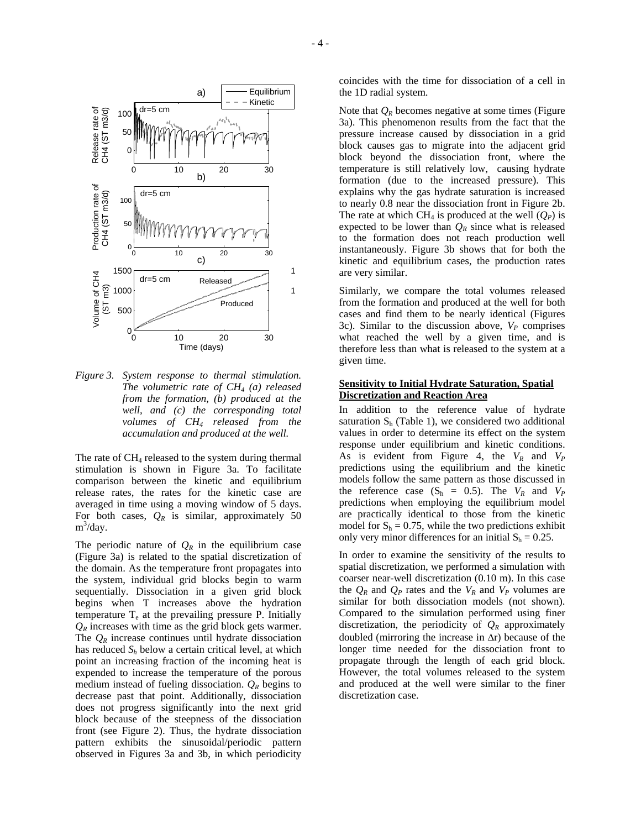

*Figure 3. System response to thermal stimulation. The volumetric rate of CH4 (a) released from the formation, (b) produced at the well, and (c) the corresponding total volumes of CH4 released from the accumulation and produced at the well.*

The rate of  $CH<sub>4</sub>$  released to the system during thermal stimulation is shown in Figure 3a. To facilitate comparison between the kinetic and equilibrium release rates, the rates for the kinetic case are averaged in time using a moving window of 5 days. For both cases,  $Q_R$  is similar, approximately 50  $m^3$ /day.

The periodic nature of  $Q_R$  in the equilibrium case (Figure 3a) is related to the spatial discretization of the domain. As the temperature front propagates into the system, individual grid blocks begin to warm sequentially. Dissociation in a given grid block begins when T increases above the hydration temperature  $T_e$  at the prevailing pressure P. Initially  $Q_R$  increases with time as the grid block gets warmer. The  $Q_R$  increase continues until hydrate dissociation has reduced  $S_h$  below a certain critical level, at which point an increasing fraction of the incoming heat is expended to increase the temperature of the porous medium instead of fueling dissociation.  $Q_R$  begins to decrease past that point. Additionally, dissociation does not progress significantly into the next grid block because of the steepness of the dissociation front (see Figure 2). Thus, the hydrate dissociation pattern exhibits the sinusoidal/periodic pattern observed in Figures 3a and 3b, in which periodicity

coincides with the time for dissociation of a cell in the 1D radial system.

Note that  $Q_R$  becomes negative at some times (Figure 3a). This phenomenon results from the fact that the pressure increase caused by dissociation in a grid block causes gas to migrate into the adjacent grid block beyond the dissociation front, where the temperature is still relatively low, causing hydrate formation (due to the increased pressure). This explains why the gas hydrate saturation is increased to nearly 0.8 near the dissociation front in Figure 2b. The rate at which CH<sub>4</sub> is produced at the well  $(O_P)$  is expected to be lower than  $Q_R$  since what is released to the formation does not reach production well instantaneously. Figure 3b shows that for both the kinetic and equilibrium cases, the production rates are very similar.

Similarly, we compare the total volumes released from the formation and produced at the well for both cases and find them to be nearly identical (Figures 3c). Similar to the discussion above,  $V_P$  comprises what reached the well by a given time, and is therefore less than what is released to the system at a given time.

## **Sensitivity to Initial Hydrate Saturation, Spatial Discretization and Reaction Area**

In addition to the reference value of hydrate saturation  $S_h$  (Table 1), we considered two additional values in order to determine its effect on the system response under equilibrium and kinetic conditions. As is evident from Figure 4, the  $V_R$  and  $V_P$ predictions using the equilibrium and the kinetic models follow the same pattern as those discussed in the reference case  $(S_h = 0.5)$ . The  $V_R$  and  $V_P$ predictions when employing the equilibrium model are practically identical to those from the kinetic model for  $S_h = 0.75$ , while the two predictions exhibit only very minor differences for an initial  $S_h = 0.25$ .

In order to examine the sensitivity of the results to spatial discretization, we performed a simulation with coarser near-well discretization (0.10 m). In this case the  $Q_R$  and  $Q_P$  rates and the  $V_R$  and  $V_P$  volumes are similar for both dissociation models (not shown). Compared to the simulation performed using finer discretization, the periodicity of  $Q_R$  approximately doubled (mirroring the increase in ∆r) because of the longer time needed for the dissociation front to propagate through the length of each grid block. However, the total volumes released to the system and produced at the well were similar to the finer discretization case.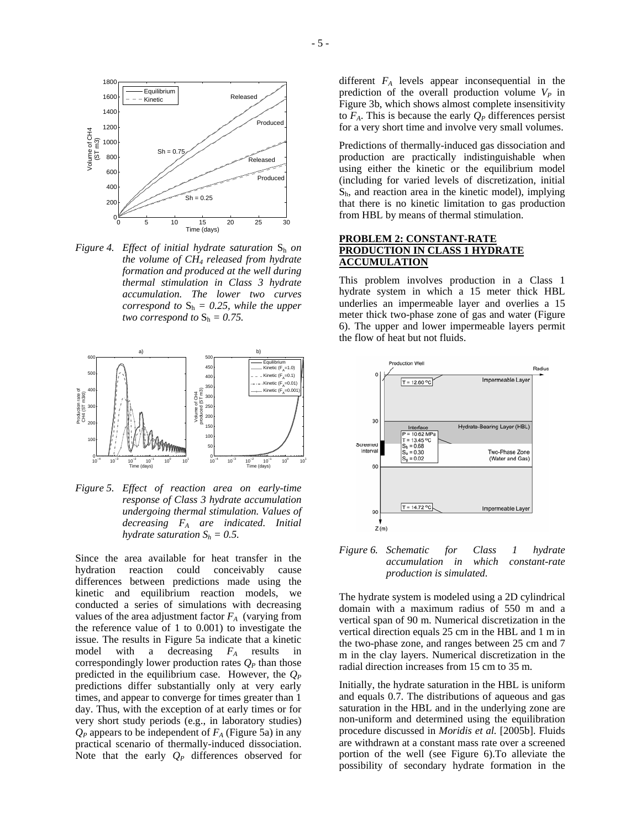

*Figure 4. Effect of initial hydrate saturation*  $S_h$  *on the volume of CH4 released from hydrate formation and produced at the well during thermal stimulation in Class 3 hydrate accumulation. The lower two curves correspond to*  $S_h = 0.25$ *, while the upper two correspond to*  $S_h = 0.75$ .



*Figure 5. Effect of reaction area on early-time response of Class 3 hydrate accumulation undergoing thermal stimulation. Values of decreasing FA are indicated. Initial hydrate saturation*  $S_h = 0.5$ *.* 

Since the area available for heat transfer in the hydration reaction could conceivably cause differences between predictions made using the kinetic and equilibrium reaction models, we conducted a series of simulations with decreasing values of the area adjustment factor  $F_A$  (varying from the reference value of 1 to 0.001) to investigate the issue. The results in Figure 5a indicate that a kinetic model with a decreasing  $F_A$  results in correspondingly lower production rates  $Q_P$  than those predicted in the equilibrium case. However, the *QP* predictions differ substantially only at very early times, and appear to converge for times greater than 1 day. Thus, with the exception of at early times or for very short study periods (e.g., in laboratory studies)  $Q_P$  appears to be independent of  $F_A$  (Figure 5a) in any practical scenario of thermally-induced dissociation. Note that the early *QP* differences observed for

different *FA* levels appear inconsequential in the prediction of the overall production volume  $V_P$  in Figure 3b, which shows almost complete insensitivity to  $F_A$ . This is because the early  $Q_P$  differences persist for a very short time and involve very small volumes.

Predictions of thermally-induced gas dissociation and production are practically indistinguishable when using either the kinetic or the equilibrium model (including for varied levels of discretization, initial  $S<sub>b</sub>$ , and reaction area in the kinetic model), implying that there is no kinetic limitation to gas production from HBL by means of thermal stimulation.

## **PROBLEM 2: CONSTANT-RATE PRODUCTION IN CLASS 1 HYDRATE ACCUMULATION**

This problem involves production in a Class 1 hydrate system in which a 15 meter thick HBL underlies an impermeable layer and overlies a 15 meter thick two-phase zone of gas and water (Figure 6). The upper and lower impermeable layers permit the flow of heat but not fluids.



*Figure 6. Schematic for Class 1 hydrate accumulation in which constant-rate production is simulated.* 

The hydrate system is modeled using a 2D cylindrical domain with a maximum radius of 550 m and a vertical span of 90 m. Numerical discretization in the vertical direction equals 25 cm in the HBL and 1 m in the two-phase zone, and ranges between 25 cm and 7 m in the clay layers. Numerical discretization in the radial direction increases from 15 cm to 35 m.

Initially, the hydrate saturation in the HBL is uniform and equals 0.7. The distributions of aqueous and gas saturation in the HBL and in the underlying zone are non-uniform and determined using the equilibration procedure discussed in *Moridis et al.* [2005b]. Fluids are withdrawn at a constant mass rate over a screened portion of the well (see Figure 6).To alleviate the possibility of secondary hydrate formation in the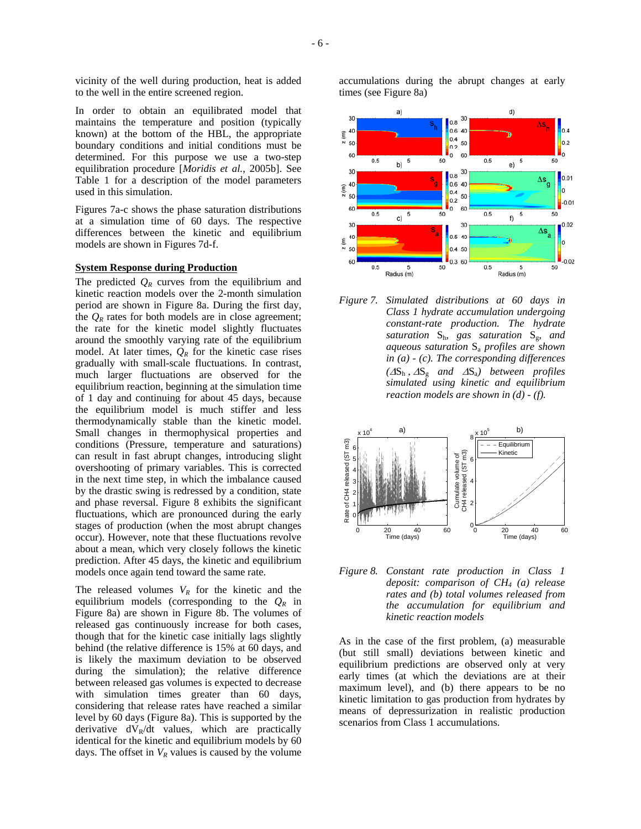vicinity of the well during production, heat is added to the well in the entire screened region.

In order to obtain an equilibrated model that maintains the temperature and position (typically known) at the bottom of the HBL, the appropriate boundary conditions and initial conditions must be determined. For this purpose we use a two-step equilibration procedure [*Moridis et al.*, 2005b]. See Table 1 for a description of the model parameters used in this simulation.

Figures 7a-c shows the phase saturation distributions at a simulation time of 60 days. The respective differences between the kinetic and equilibrium models are shown in Figures 7d-f.

#### **System Response during Production**

The predicted  $Q_R$  curves from the equilibrium and kinetic reaction models over the 2-month simulation period are shown in Figure 8a. During the first day, the  $Q_R$  rates for both models are in close agreement; the rate for the kinetic model slightly fluctuates around the smoothly varying rate of the equilibrium model. At later times,  $Q_R$  for the kinetic case rises gradually with small-scale fluctuations. In contrast, much larger fluctuations are observed for the equilibrium reaction, beginning at the simulation time of 1 day and continuing for about 45 days, because the equilibrium model is much stiffer and less thermodynamically stable than the kinetic model. Small changes in thermophysical properties and conditions (Pressure, temperature and saturations) can result in fast abrupt changes, introducing slight overshooting of primary variables. This is corrected in the next time step, in which the imbalance caused by the drastic swing is redressed by a condition, state and phase reversal. Figure 8 exhibits the significant fluctuations, which are pronounced during the early stages of production (when the most abrupt changes occur). However, note that these fluctuations revolve about a mean, which very closely follows the kinetic prediction. After 45 days, the kinetic and equilibrium models once again tend toward the same rate.

The released volumes  $V_R$  for the kinetic and the equilibrium models (corresponding to the *QR* in Figure 8a) are shown in Figure 8b. The volumes of released gas continuously increase for both cases, though that for the kinetic case initially lags slightly behind (the relative difference is 15% at 60 days, and is likely the maximum deviation to be observed during the simulation); the relative difference between released gas volumes is expected to decrease with simulation times greater than 60 days, considering that release rates have reached a similar level by 60 days (Figure 8a). This is supported by the derivative  $dV_R/dt$  values, which are practically identical for the kinetic and equilibrium models by 60 days. The offset in  $V_R$  values is caused by the volume

accumulations during the abrupt changes at early times (see Figure 8a)



*Figure 7. Simulated distributions at 60 days in Class 1 hydrate accumulation undergoing constant-rate production. The hydrate saturation* Sh*, gas saturation* Sg*, and aqueous saturation* Sa *profiles are shown in (a) - (c). The corresponding differences (*∆Sh , <sup>∆</sup>Sg *and* ∆Sa*) between profiles simulated using kinetic and equilibrium reaction models are shown in (d) - (f).*



*Figure 8. Constant rate production in Class 1 deposit: comparison of CH4 (a) release rates and (b) total volumes released from the accumulation for equilibrium and kinetic reaction models*

As in the case of the first problem, (a) measurable (but still small) deviations between kinetic and equilibrium predictions are observed only at very early times (at which the deviations are at their maximum level), and (b) there appears to be no kinetic limitation to gas production from hydrates by means of depressurization in realistic production scenarios from Class 1 accumulations.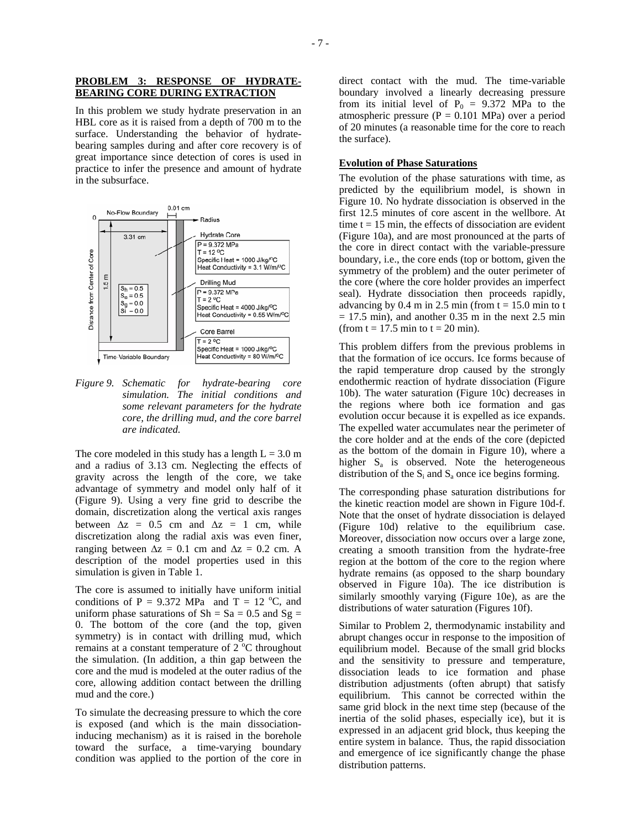## **PROBLEM 3: RESPONSE OF HYDRATE-BEARING CORE DURING EXTRACTION**

In this problem we study hydrate preservation in an HBL core as it is raised from a depth of 700 m to the surface. Understanding the behavior of hydratebearing samples during and after core recovery is of great importance since detection of cores is used in practice to infer the presence and amount of hydrate in the subsurface.



*Figure 9. Schematic for hydrate-bearing core simulation. The initial conditions and some relevant parameters for the hydrate core, the drilling mud, and the core barrel are indicated.*

The core modeled in this study has a length  $L = 3.0$  m and a radius of 3.13 cm. Neglecting the effects of gravity across the length of the core, we take advantage of symmetry and model only half of it (Figure 9). Using a very fine grid to describe the domain, discretization along the vertical axis ranges between  $\Delta z = 0.5$  cm and  $\Delta z = 1$  cm, while discretization along the radial axis was even finer, ranging between  $\Delta z = 0.1$  cm and  $\Delta z = 0.2$  cm. A description of the model properties used in this simulation is given in Table 1.

The core is assumed to initially have uniform initial conditions of P = 9.372 MPa and T = 12 °C, and uniform phase saturations of  $Sh = Sa = 0.5$  and  $Sg =$ 0. The bottom of the core (and the top, given symmetry) is in contact with drilling mud, which remains at a constant temperature of  $2^{\circ}$ C throughout the simulation. (In addition, a thin gap between the core and the mud is modeled at the outer radius of the core, allowing addition contact between the drilling mud and the core.)

To simulate the decreasing pressure to which the core is exposed (and which is the main dissociationinducing mechanism) as it is raised in the borehole toward the surface, a time-varying boundary condition was applied to the portion of the core in

direct contact with the mud. The time-variable boundary involved a linearly decreasing pressure from its initial level of  $P_0 = 9.372$  MPa to the atmospheric pressure  $(P = 0.101 \text{ MPa})$  over a period of 20 minutes (a reasonable time for the core to reach the surface).

## **Evolution of Phase Saturations**

The evolution of the phase saturations with time, as predicted by the equilibrium model, is shown in Figure 10. No hydrate dissociation is observed in the first 12.5 minutes of core ascent in the wellbore. At time  $t = 15$  min, the effects of dissociation are evident (Figure 10a), and are most pronounced at the parts of the core in direct contact with the variable-pressure boundary, i.e., the core ends (top or bottom, given the symmetry of the problem) and the outer perimeter of the core (where the core holder provides an imperfect seal). Hydrate dissociation then proceeds rapidly, advancing by  $0.4$  m in  $2.5$  min (from  $t = 15.0$  min to t  $= 17.5$  min), and another 0.35 m in the next 2.5 min (from  $t = 17.5$  min to  $t = 20$  min).

This problem differs from the previous problems in that the formation of ice occurs. Ice forms because of the rapid temperature drop caused by the strongly endothermic reaction of hydrate dissociation (Figure 10b). The water saturation (Figure 10c) decreases in the regions where both ice formation and gas evolution occur because it is expelled as ice expands. The expelled water accumulates near the perimeter of the core holder and at the ends of the core (depicted as the bottom of the domain in Figure 10), where a higher  $S_a$  is observed. Note the heterogeneous distribution of the  $S_i$  and  $S_a$  once ice begins forming.

The corresponding phase saturation distributions for the kinetic reaction model are shown in Figure 10d-f. Note that the onset of hydrate dissociation is delayed (Figure 10d) relative to the equilibrium case. Moreover, dissociation now occurs over a large zone, creating a smooth transition from the hydrate-free region at the bottom of the core to the region where hydrate remains (as opposed to the sharp boundary observed in Figure 10a). The ice distribution is similarly smoothly varying (Figure 10e), as are the distributions of water saturation (Figures 10f).

Similar to Problem 2, thermodynamic instability and abrupt changes occur in response to the imposition of equilibrium model. Because of the small grid blocks and the sensitivity to pressure and temperature, dissociation leads to ice formation and phase distribution adjustments (often abrupt) that satisfy equilibrium. This cannot be corrected within the same grid block in the next time step (because of the inertia of the solid phases, especially ice), but it is expressed in an adjacent grid block, thus keeping the entire system in balance. Thus, the rapid dissociation and emergence of ice significantly change the phase distribution patterns.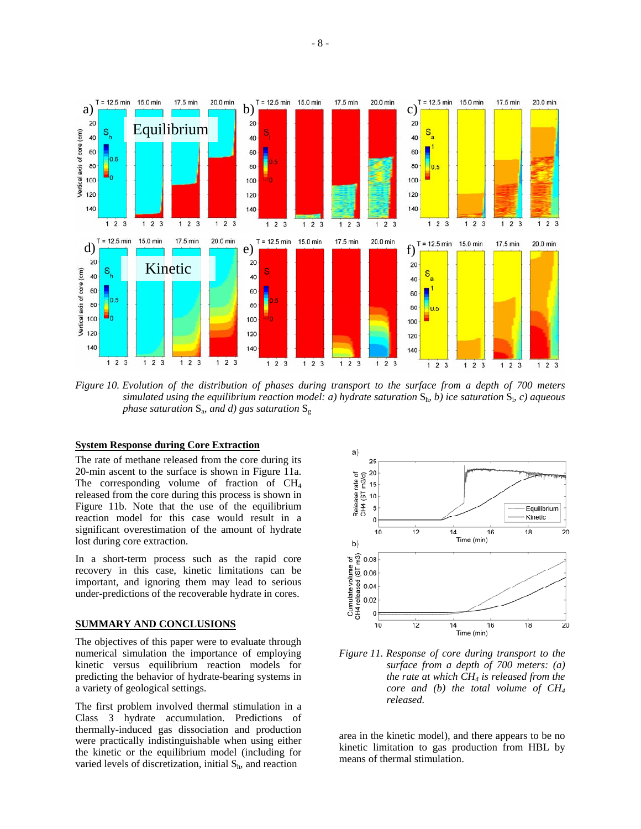

*Figure 10. Evolution of the distribution of phases during transport to the surface from a depth of 700 meters simulated using the equilibrium reaction model: a) hydrate saturation* Sh*, b) ice saturation* Si*, c) aqueous phase saturation*  $S_a$ *, and d) gas saturation*  $S_g$ 

#### **System Response during Core Extraction**

The rate of methane released from the core during its 20-min ascent to the surface is shown in Figure 11a. The corresponding volume of fraction of  $CH<sub>4</sub>$ released from the core during this process is shown in Figure 11b. Note that the use of the equilibrium reaction model for this case would result in a significant overestimation of the amount of hydrate lost during core extraction.

In a short-term process such as the rapid core recovery in this case, kinetic limitations can be important, and ignoring them may lead to serious under-predictions of the recoverable hydrate in cores.

## **SUMMARY AND CONCLUSIONS**

The objectives of this paper were to evaluate through numerical simulation the importance of employing kinetic versus equilibrium reaction models for predicting the behavior of hydrate-bearing systems in a variety of geological settings.

The first problem involved thermal stimulation in a Class 3 hydrate accumulation. Predictions of thermally-induced gas dissociation and production were practically indistinguishable when using either the kinetic or the equilibrium model (including for varied levels of discretization, initial  $S<sub>h</sub>$ , and reaction



*Figure 11. Response of core during transport to the surface from a depth of 700 meters: (a) the rate at which CH4 is released from the core and (b) the total volume of CH4 released.* 

area in the kinetic model), and there appears to be no kinetic limitation to gas production from HBL by means of thermal stimulation.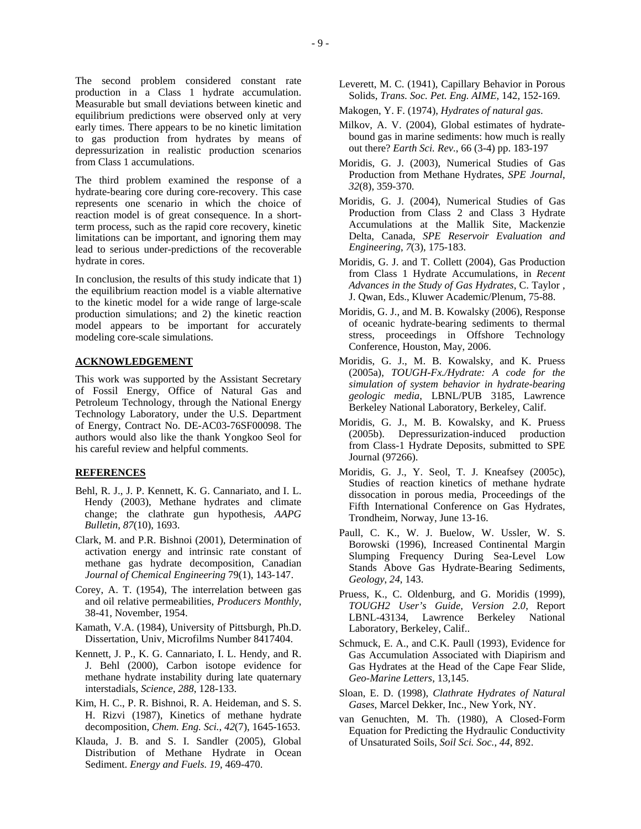The second problem considered constant rate production in a Class 1 hydrate accumulation. Measurable but small deviations between kinetic and equilibrium predictions were observed only at very early times. There appears to be no kinetic limitation to gas production from hydrates by means of depressurization in realistic production scenarios from Class 1 accumulations.

The third problem examined the response of a<br> $32(8)$ , 359-370. hydrate-bearing core during core-recovery. This case represents one scenario in which the choice of reaction model is of great consequence. In a shortterm process, such as the rapid core recovery, kinetic limitations can be important, and ignoring them may lead to serious under-predictions of the recoverable hydrate in cores.

In conclusion, the results of this study indicate that 1) the equilibrium reaction model is a viable alternative to the kinetic model for a wide range of large-scale production simulations; and 2) the kinetic reaction model appears to be important for accurately modeling core-scale simulations.

This work was supported by the Assistant Secretary of Fossil Energy, Office of Natural Gas and Petroleum Technology, through the National Energy Technology Laboratory, under the U.S. Department of Energy, Contract No. DE-AC03-76SF00098. The authors would also like the thank Yongkoo Seol for his careful review and helpful comments.

## **REFERENCES**

- Behl, R. J., J. P. Kennett, K. G. Cannariato, and I. L. Hendy (2003), Methane hydrates and climate change; the clathrate gun hypothesis, *AAPG Bulletin*, *87*(10), 1693.<br>Paull, C. K., W. J. Buelow, W. Ussler, W. S.
- Clark, M. and P.R. Bishnoi (2001), Determination of activation energy and intrinsic rate constant of methane gas hydrate decomposition, Canadian *Journal of Chemical Engineering* 79(1), 143-147.
- Corey, A. T. (1954), The interrelation between gas and oil relative permeabilities, *Producers Monthly*, 38-41, November, 1954.
- Kamath, V.A. (1984), University of Pittsburgh, Ph.D. Laboratory, Berkeley, Calif.. Dissertation, Univ, Microfilms Number 8417404. Schmuck, E. A., and C.K. Paull (1993), Evidence for
- Kennett, J. P., K. G. Cannariato, I. L. Hendy, and R. J. Behl (2000), Carbon isotope evidence for methane hydrate instability during late quaternary interstadials, *Science*, *288*, 128-133. Sloan, E. D. (1998), *Clathrate Hydrates of Natural*
- Kim, H. C., P. R. Bishnoi, R. A. Heideman, and S. S. *Gases*, Marcel Dekker, Inc., New York, NY.<br>H. Rizvi (1987), Kinetics of methane hydrate von Genuchten M. Th. (1980), A. Closed decomposition, *Chem. Eng. Sci.*, *42*(7), 1645-1653. van Genuchten, M. Th. (1980), A Closed-Form
- Klauda, J. B. and S. I. Sandler (2005), Global of Unsaturated Soils, *Soil Sci. Soc.*, *44*, 892. Distribution of Methane Hydrate in Ocean Sediment. *Energy and Fuels. 19*, 469-470.
- Leverett, M. C. (1941), Capillary Behavior in Porous Solids, *Trans. Soc. Pet. Eng. AIME*, 142, 152-169.
- Makogen, Y. F. (1974), *Hydrates of natural gas*.
- Milkov, A. V. (2004), Global estimates of hydratebound gas in marine sediments: how much is really out there? *Earth Sci. Rev.*, 66 (3-4) pp. 183-197
- Moridis, G. J. (2003), Numerical Studies of Gas Production from Methane Hydrates, *SPE Journal*,
- Moridis, G. J. (2004), Numerical Studies of Gas Production from Class 2 and Class 3 Hydrate Accumulations at the Mallik Site, Mackenzie Delta, Canada, *SPE Reservoir Evaluation and Engineering*, *7*(3), 175-183.
- Moridis, G. J. and T. Collett (2004), Gas Production from Class 1 Hydrate Accumulations, in *Recent Advances in the Study of Gas Hydrates*, C. Taylor , J. Qwan, Eds., Kluwer Academic/Plenum, 75-88.
- Moridis, G. J., and M. B. Kowalsky (2006), Response of oceanic hydrate-bearing sediments to thermal stress, proceedings in Offshore Technology Conference, Houston, May, 2006.
- **ACKNOWLEDGEMENT** Moridis, G. J., M. B. Kowalsky, and K. Pruess (2005a), *TOUGH-Fx./Hydrate: A code for the simulation of system behavior in hydrate-bearing geologic media*, LBNL/PUB 3185, Lawrence Berkeley National Laboratory, Berkeley, Calif.
	- Moridis, G. J., M. B. Kowalsky, and K. Pruess (2005b). Depressurization-induced production from Class-1 Hydrate Deposits, submitted to SPE Journal (97266).
	- Moridis, G. J., Y. Seol, T. J. Kneafsey (2005c), Studies of reaction kinetics of methane hydrate dissocation in porous media, Proceedings of the Fifth International Conference on Gas Hydrates, Trondheim, Norway, June 13-16.
	- Borowski (1996), Increased Continental Margin Slumping Frequency During Sea-Level Low Stands Above Gas Hydrate-Bearing Sediments, *Geology*, *24*, 143.
	- Pruess, K., C. Oldenburg, and G. Moridis (1999), *TOUGH2 User's Guide, Version 2.0*, Report LBNL-43134, Lawrence Berkeley National
	- Gas Accumulation Associated with Diapirism and Gas Hydrates at the Head of the Cape Fear Slide, *Geo-Marine Letters*, 13,145.
	-
	- Equation for Predicting the Hydraulic Conductivity